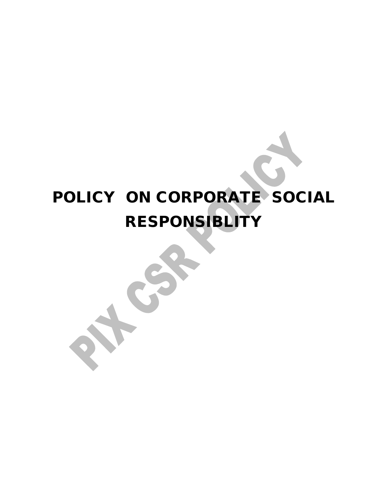# **POLICY ON CORPORATE SOCIAL RESPONSIBLITY**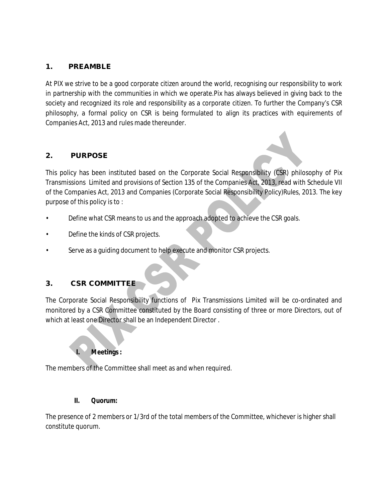#### **1. PREAMBLE**

At PIX we strive to be a good corporate citizen around the world, recognising our responsibility to work in partnership with the communities in which we operate.Pix has always believed in giving back to the society and recognized its role and responsibility as a corporate citizen. To further the Company's CSR philosophy, a formal policy on CSR is being formulated to align its practices with equirements of Companies Act, 2013 and rules made thereunder.

# **2. PURPOSE**

This policy has been instituted based on the Corporate Social Responsibility (CSR) philosophy of Pix Transmissions Limited and provisions of Section 135 of the Companies Act, 2013, read with Schedule VII of the Companies Act, 2013 and Companies (Corporate Social Responsibility Policy)Rules, 2013. The key purpose of this policy is to :

- Define what CSR means to us and the approach adopted to achieve the CSR goals.
- Define the kinds of CSR projects.
- Serve as a guiding document to help execute and monitor CSR projects.

# **3. CSR COMMITTEE**

The Corporate Social Responsibility functions of Pix Transmissions Limited will be co-ordinated and monitored by a CSR Committee constituted by the Board consisting of three or more Directors, out of which at least one Director shall be an Independent Director .

# **I. Meetings :**

The members of the Committee shall meet as and when required.

#### **II. Quorum:**

The presence of 2 members or 1/3rd of the total members of the Committee, whichever is higher shall constitute quorum.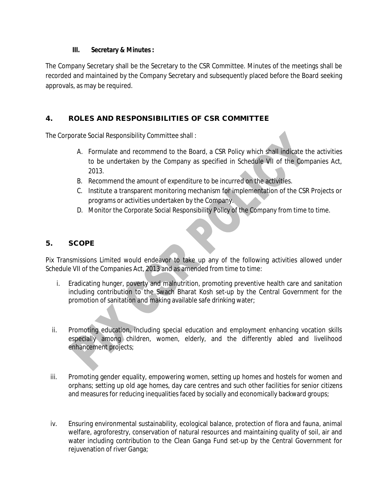#### **III. Secretary & Minutes :**

The Company Secretary shall be the Secretary to the CSR Committee. Minutes of the meetings shall be recorded and maintained by the Company Secretary and subsequently placed before the Board seeking approvals, as may be required.

# **4. ROLES AND RESPONSIBILITIES OF CSR COMMITTEE**

The Corporate Social Responsibility Committee shall :

- A. Formulate and recommend to the Board, a CSR Policy which shall indicate the activities to be undertaken by the Company as specified in Schedule VII of the Companies Act, 2013.
- B. Recommend the amount of expenditure to be incurred on the activities.
- C. Institute a transparent monitoring mechanism for implementation of the CSR Projects or programs or activities undertaken by the Company.
- D. Monitor the Corporate Social Responsibility Policy of the Company from time to time.

# **5. SCOPE**

Pix Transmissions Limited would endeavor to take up any of the following activities allowed under Schedule VII of the Companies Act, 2013 and as amended from time to time:

- i. Eradicating hunger, poverty and malnutrition, promoting preventive health care and sanitation including contribution to the Swach Bharat Kosh set-up by the Central Government for the promotion of sanitation and making available safe drinking water;
- ii. Promoting education, including special education and employment enhancing vocation skills especially among children, women, elderly, and the differently abled and livelihood enhancement projects;
- iii. Promoting gender equality, empowering women, setting up homes and hostels for women and orphans; setting up old age homes, day care centres and such other facilities for senior citizens and measures for reducing inequalities faced by socially and economically backward groups;
- iv. Ensuring environmental sustainability, ecological balance, protection of flora and fauna, animal welfare, agroforestry, conservation of natural resources and maintaining quality of soil, air and water including contribution to the Clean Ganga Fund set-up by the Central Government for rejuvenation of river Ganga;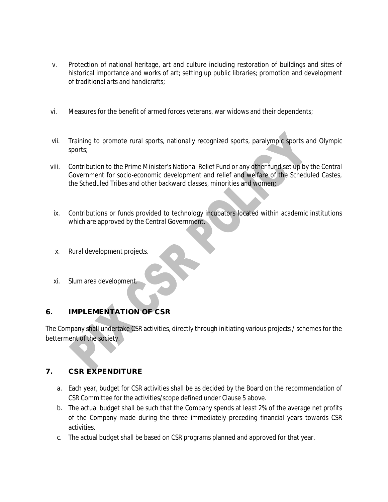- v. Protection of national heritage, art and culture including restoration of buildings and sites of historical importance and works of art; setting up public libraries; promotion and development of traditional arts and handicrafts;
- vi. Measures for the benefit of armed forces veterans, war widows and their dependents;
- vii. Training to promote rural sports, nationally recognized sports, paralympic sports and Olympic sports;
- viii. Contribution to the Prime Minister's National Relief Fund or any other fund set up by the Central Government for socio-economic development and relief and welfare of the Scheduled Castes, the Scheduled Tribes and other backward classes, minorities and women;
- ix. Contributions or funds provided to technology incubators located within academic institutions which are approved by the Central Government.
- x. Rural development projects.
- xi. Slum area development.

# **6. IMPLEMENTATION OF CSR**

The Company shall undertake CSR activities, directly through initiating various projects / schemes for the betterment of the society.

# **7. CSR EXPENDITURE**

- a. Each year, budget for CSR activities shall be as decided by the Board on the recommendation of CSR Committee for the activities/scope defined under Clause 5 above.
- b. The actual budget shall be such that the Company spends at least 2% of the average net profits of the Company made during the three immediately preceding financial years towards CSR activities.
- c. The actual budget shall be based on CSR programs planned and approved for that year.